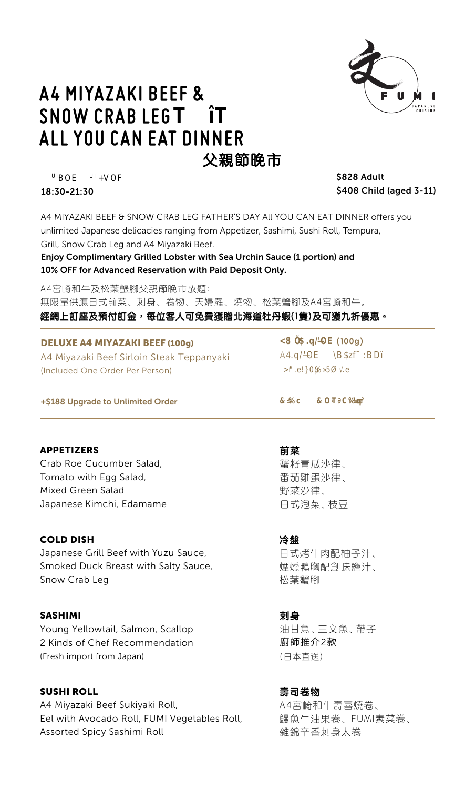

# **A4 MIYAZAKI BEEF & SNOW CRABLEGT T ALL YOU CAN EAT DINNER** A4 **A** 父親節晩市

**UIBOE UI+VOF000** 18:30-21:30

\$828 Adult \$408 Child (aged 3-11)

A4 MIYAZAKI BEEF & SNOW CRAB LEG FATHER'S DAY All YOU CAN EAT DINNER offers you unlimited Japanese delicacies ranging from Appetizer, Sashimi, Sushi Roll, Tempura, Grill, Snow Crab Leg and A4 Miyazaki Beef.

Enjoy Complimentary Grilled Lobster with Sea Urchin Sauce (1 portion) and 10% OFF for Advanced Reservation with Paid Deposit Only.

A4宮崎和牛及松葉蟹腳父親節晚市放題: 無限量供應日式前菜、刺身、卷物、天婦羅、燒物、松葉蟹腳及A4宮崎和牛。 經網上訂座及預付訂金,每位客人可免費獲贈北海道牡丹蝦(1隻)及可獲九折優惠。

DELUXE A4 MIYAZAKI BEEF (100g) A4 Miyazaki Beef Sirloin Steak Teppanyaki (Included One Order Per Person)

<8 Í\$.q/Ñ'OE **(100g)**  $\Delta\Delta$ 

+\$188 Upgrade to Unlimited Order

## APPETIZERS

Crab Roe Cucumber Salad, Tomato with Egg Salad, Mixed Green Salad Japanese Kimchi, Edamame

## COLD DISH

Japanese Grill Beef with Yuzu Sauce, Smoked Duck Breast with Salty Sauce, Snow Crab Leg

## SASHIMI

Young Yellowtail, Salmon, Scallop 2 Kinds of Chef Recommendation (Fresh import from Japan)

# SUSHI ROLL

A4 Miyazaki Beef Sukiyaki Roll, Eel with Avocado Roll, FUMI Vegetables Roll, Assorted Spicy Sashimi Roll

**前菜** 蟹籽青瓜沙律、 番茄雞蛋沙律、 野菜沙律、 日式泡菜、枝豆

## **冷盤**

日式烤牛肉配柚子汁、 煙燻鴨胸配創味鹽汁、 松葉蟹腳

**剌身** 油甘魚、三文魚、帶子 廚師推介2款 (日本直送)

**壽司卷物**

A4宮崎和牛壽喜燒卷、 鰻魚牛油果卷、FUMI素菜卷、 雜錦辛香刺身太卷